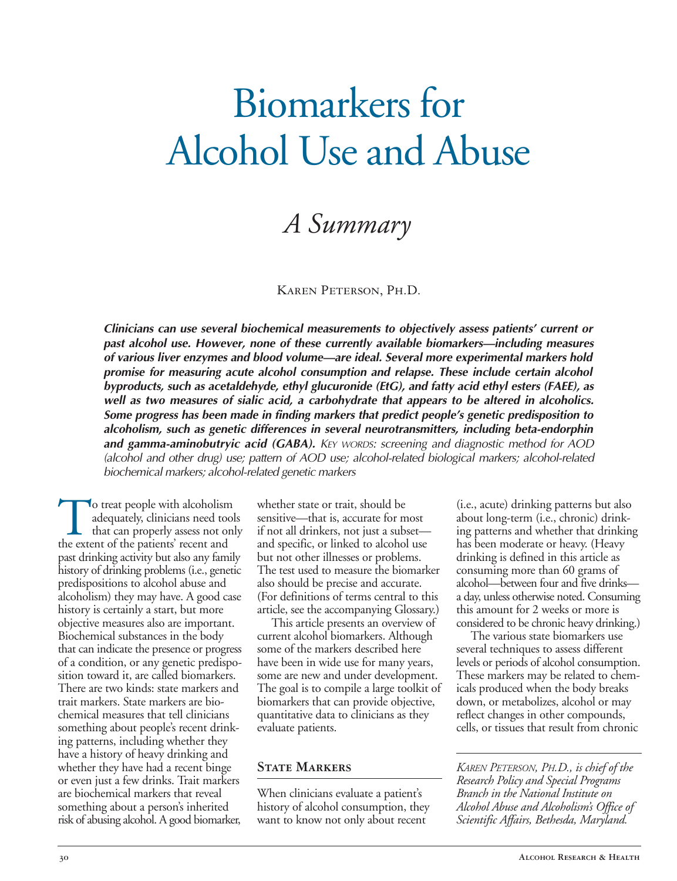# Biomarkers for Alcohol Use and Abuse

## *A Summary*

#### Karen Peterson, Ph.D.

*Clinicians can use several biochemical measurements to objectively assess patients' current or past alcohol use. However, none of these currently available biomarkers—including measures of various liver enzymes and blood volume—are ideal. Several more experimental markers hold promise for measuring acute alcohol consumption and relapse. These include certain alcohol byproducts, such as acetaldehyde, ethyl glucuronide (EtG), and fatty acid ethyl esters (FAEE), as well as two measures of sialic acid, a carbohydrate that appears to be altered in alcoholics. Some progress has been made in finding markers that predict people's genetic predisposition to alcoholism, such as genetic differences in several neurotransmitters, including beta-endorphin*  and gamma-aminobutryic acid (GABA). KEY WORDS: screening and diagnostic method for AOD *(alcohol and other drug) use; pattern of AOD use; alcohol-related biological markers; alcohol-related biochemical markers; alcohol-related genetic markers* 

To treat people with alcoholism whether state or trait, should be (i.e., acute) drinking patterns but also sensitive—that is, accurate for most that can properly assess not only if not all drinkers, not just a subset— ing that can properly assess not only if not all drinkers, not just a subset— ing patterns and whether that drinking the extent of the patients' recent and and specific, or linked to alcohol use has been moderate or heavy. (He past drinking activity but also any family but not other illnesses or problems. drinking is defined in this article as history of drinking problems (i.e., genetic The test used to measure the biomark predispositions to alcohol abuse and also should be precise and accurate. alcoholism) they may have. A good case (For definitions of terms central to this a day, unless otherwise noted. Consum<br>history is certainly a start, but more article, see the accompanying Glossary.) this amount for 2 weeks history is certainly a start, but more article, see the accompanying Glossary.) objective measures also are important. This article presents an overview of Biochemical substances in the body current alcohol biomarkers. Although The various state biomarkers use that can indicate the presence or progress some of the markers described here several techniques to assess different of a condition, or any genetic predisposition toward it, are called biomarkers. There are two kinds: state markers and the goal is to compile a large toolkit of ticals produced when the body breaks<br>trait markers. State markers are bio-biomarkers that can provide objective, the down, or metabolizes, al trait markers. State markers are bio-<br>
biomarkers that can provide objective, down, or metabolizes, alcohol or may<br>
chemical measures that tell clinicians<br>
quantitative data to clinicians as they<br>
reflect changes in other something about people's recent drink- evaluate patients. ing patterns, including whether they have a history of heavy drinking and<br>whether they have had a recent binge whether they have had a recent binge **STATE MARKERS** *KAREN PETERSON, PH.D., is chief of the* or even just a few drinks. Trait markers *STATE MARKERS Research Policy and Special Programs* or even just a few drinks. Trait markers *Research Policy and Special Programs*  are biochemical markers that reveal When clinicians evaluate a patient's *something about a person's* inherited history of alcohol consumption, the risk of abusing alcohol. A good biomarker,

adequately, clinicians need tools sensitive—that is, accurate for most about long-term (i.e., chronic) drink-<br>that can properly assess not only if not all drinkers, not just a subset— ing patterns and whether that drinkin and specific, or linked to alcohol use

quantitative data to clinicians as they reflect changes in other compounds,<br>evaluate patients. cells, or tissues that result from chronic

predicted about alcohol abuse and accurate. Alcohol abuse and five drinks—<br>(For definitions of terms central to this a day, unless otherwise noted. Consuming considered to be chronic heavy drinking.)

that can indicate the presence or progress some of the markers described here several techniques to assess different of a condition, or any genetic predispo- have been in wide use for many years, levels or periods of alcoh sition toward it, are called biomarkers. some are new and under development. These markers may be related to chem-<br>There are two kinds: state markers and The goal is to compile a large toolkit of icals produced when the bo

history of alcohol consumption, they *Alcohol Abuse and Alcoholism's Office of* want to know not only about recent *Scientific Affairs, Bethesda, Maryland.*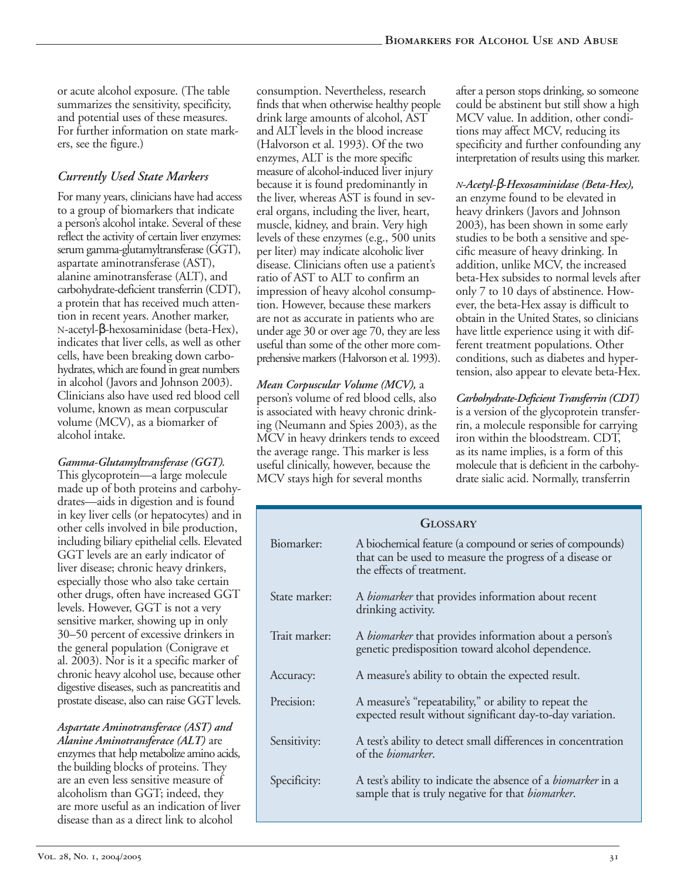or acute alcohol exposure. (The table summarizes the sensitivity, specificity, and potential uses of these measures. For further information on state markers, see the figure.)

#### *Currently Used State Markers*

For many years, clinicians have had access to a group of biomarkers that indicate a person's alcohol intake. Several of these reflect the activity of certain liver enzymes: serum gamma-glutamyltransferase (GGT), aspartate aminotransferase (AST), alanine aminotransferase (ALT), and carbohydrate-deficient transferrin (CDT), a protein that has received much attention in recent years. Another marker, N-acetyl-β-hexosaminidase (beta-Hex), indicates that liver cells, as well as other cells, have been breaking down carbohydrates, which are found in great numbers in alcohol (Javors and Johnson 2003). Clinicians also have used red blood cell volume, known as mean corpuscular volume (MCV), as a biomarker of alcohol intake.

*Gamma-Glutamyltransferase (GGT).*  This glycoprotein—a large molecule made up of both proteins and carbohydrates—aids in digestion and is found in key liver cells (or hepatocytes) and in other cells involved in bile production, including biliary epithelial cells. Elevated GGT levels are an early indicator of liver disease; chronic heavy drinkers, especially those who also take certain other drugs, often have increased GGT levels. However, GGT is not a very sensitive marker, showing up in only 30–50 percent of excessive drinkers in the general population (Conigrave et al. 2003). Nor is it a specific marker of chronic heavy alcohol use, because other digestive diseases, such as pancreatitis and prostate disease, also can raise GGT levels.

*Aspartate Aminotransferace (AST) and Alanine Aminotransferace (ALT)* are enzymes that help metabolize amino acids, the building blocks of proteins. They are an even less sensitive measure of alcoholism than GGT; indeed, they are more useful as an indication of liver disease than as a direct link to alcohol

consumption. Nevertheless, research finds that when otherwise healthy people drink large amounts of alcohol, AST and ALT levels in the blood increase (Halvorson et al. 1993). Of the two enzymes, ALT is the more specific measure of alcohol-induced liver injury because it is found predominantly in the liver, whereas AST is found in several organs, including the liver, heart, muscle, kidney, and brain. Very high levels of these enzymes (e.g., 500 units per liter) may indicate alcoholic liver disease. Clinicians often use a patient's ratio of AST to ALT to confirm an impression of heavy alcohol consumption. However, because these markers are not as accurate in patients who are under age 30 or over age 70, they are less useful than some of the other more comprehensive markers (Halvorson et al. 1993).

*Mean Corpuscular Volume (MCV),* a person's volume of red blood cells, also is associated with heavy chronic drinking (Neumann and Spies 2003), as the MCV in heavy drinkers tends to exceed the average range. This marker is less useful clinically, however, because the MCV stays high for several months

after a person stops drinking, so someone could be abstinent but still show a high MCV value. In addition, other conditions may affect MCV, reducing its specificity and further confounding any interpretation of results using this marker.

*N-Acetyl-*β*-Hexosaminidase (Beta-Hex),*  an enzyme found to be elevated in heavy drinkers (Javors and Johnson 2003), has been shown in some early studies to be both a sensitive and specific measure of heavy drinking. In addition, unlike MCV, the increased beta-Hex subsides to normal levels after only 7 to 10 days of abstinence. However, the beta-Hex assay is difficult to obtain in the United States, so clinicians have little experience using it with different treatment populations. Other conditions, such as diabetes and hypertension, also appear to elevate beta-Hex.

*Carbohydrate-Deficient Transferrin (CDT)*  is a version of the glycoprotein transferrin, a molecule responsible for carrying iron within the bloodstream. CDT, as its name implies, is a form of this molecule that is deficient in the carbohydrate sialic acid. Normally, transferrin

| GLOSSARY      |                                                                                                                                                    |  |  |  |  |
|---------------|----------------------------------------------------------------------------------------------------------------------------------------------------|--|--|--|--|
| Biomarker:    | A biochemical feature (a compound or series of compounds)<br>that can be used to measure the progress of a disease or<br>the effects of treatment. |  |  |  |  |
| State marker: | A <i>biomarker</i> that provides information about recent<br>drinking activity.                                                                    |  |  |  |  |
| Trait marker: | A biomarker that provides information about a person's<br>genetic predisposition toward alcohol dependence.                                        |  |  |  |  |
| Accuracy:     | A measure's ability to obtain the expected result.                                                                                                 |  |  |  |  |
| Precision:    | A measure's "repeatability," or ability to repeat the<br>expected result without significant day-to-day variation.                                 |  |  |  |  |
| Sensitivity:  | A test's ability to detect small differences in concentration<br>of the <i>biomarker</i> .                                                         |  |  |  |  |
| Specificity:  | A test's ability to indicate the absence of a <i>biomarker</i> in a<br>sample that is truly negative for that <i>biomarker</i> .                   |  |  |  |  |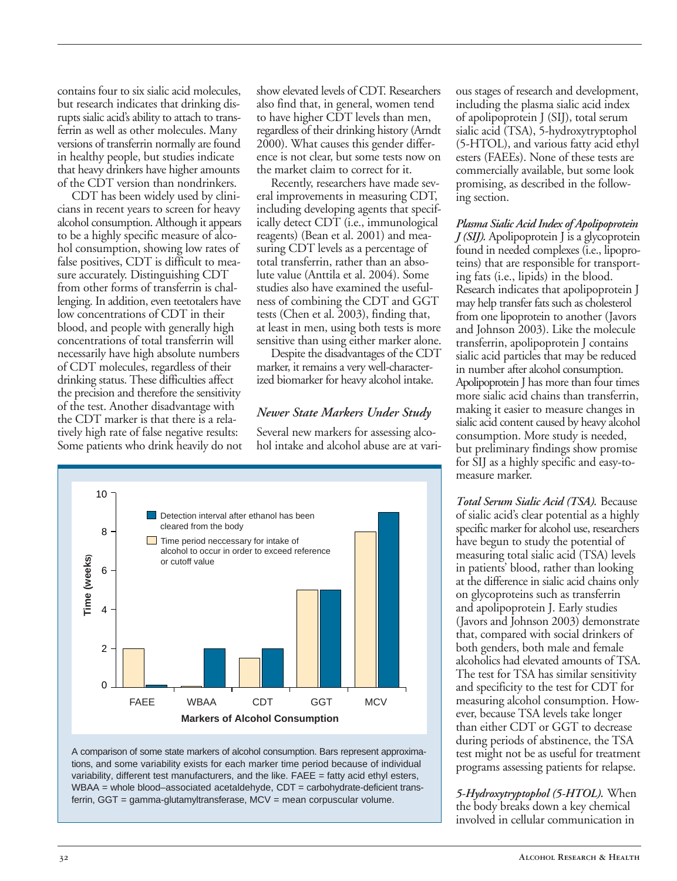contains four to six sialic acid molecules, but research indicates that drinking disrupts sialic acid's ability to attach to transferrin as well as other molecules. Many versions of transferrin normally are found in healthy people, but studies indicate that heavy drinkers have higher amounts of the CDT version than nondrinkers.

CDT has been widely used by clinicians in recent years to screen for heavy alcohol consumption. Although it appears to be a highly specific measure of alcohol consumption, showing low rates of false positives, CDT is difficult to measure accurately. Distinguishing CDT from other forms of transferrin is challenging. In addition, even teetotalers have low concentrations of CDT in their blood, and people with generally high concentrations of total transferrin will necessarily have high absolute numbers of CDT molecules, regardless of their drinking status. These difficulties affect the precision and therefore the sensitivity of the test. Another disadvantage with the CDT marker is that there is a relatively high rate of false negative results: Some patients who drink heavily do not show elevated levels of CDT. Researchers also find that, in general, women tend to have higher CDT levels than men, regardless of their drinking history (Arndt 2000). What causes this gender difference is not clear, but some tests now on the market claim to correct for it.

Recently, researchers have made several improvements in measuring CDT, including developing agents that specifically detect CDT (i.e., immunological reagents) (Bean et al. 2001) and measuring CDT levels as a percentage of total transferrin, rather than an absolute value (Anttila et al. 2004). Some studies also have examined the usefulness of combining the CDT and GGT tests (Chen et al. 2003), finding that, at least in men, using both tests is more sensitive than using either marker alone.

Despite the disadvantages of the CDT marker, it remains a very well-characterized biomarker for heavy alcohol intake.

#### *Newer State Markers Under Study*

Several new markers for assessing alcohol intake and alcohol abuse are at vari-





ous stages of research and development, including the plasma sialic acid index of apolipoprotein J (SIJ), total serum sialic acid (TSA), 5-hydroxytryptophol (5-HTOL), and various fatty acid ethyl esters (FAEEs). None of these tests are commercially available, but some look promising, as described in the following section.

*Plasma Sialic Acid Index of Apolipoprotein J (SIJ).* Apolipoprotein J is a glycoprotein found in needed complexes (i.e., lipoproteins) that are responsible for transporting fats (i.e., lipids) in the blood. Research indicates that apolipoprotein J may help transfer fats such as cholesterol from one lipoprotein to another (Javors and Johnson 2003). Like the molecule transferrin, apolipoprotein J contains sialic acid particles that may be reduced in number after alcohol consumption. Apolipoprotein J has more than four times more sialic acid chains than transferrin, making it easier to measure changes in sialic acid content caused by heavy alcohol consumption. More study is needed, but preliminary findings show promise for SIJ as a highly specific and easy-tomeasure marker.

*Total Serum Sialic Acid (TSA).* Because of sialic acid's clear potential as a highly specific marker for alcohol use, researchers have begun to study the potential of measuring total sialic acid (TSA) levels in patients' blood, rather than looking at the difference in sialic acid chains only on glycoproteins such as transferrin and apolipoprotein J. Early studies (Javors and Johnson 2003) demonstrate that, compared with social drinkers of both genders, both male and female alcoholics had elevated amounts of TSA. The test for TSA has similar sensitivity and specificity to the test for CDT for measuring alcohol consumption. However, because TSA levels take longer than either CDT or GGT to decrease during periods of abstinence, the TSA test might not be as useful for treatment programs assessing patients for relapse.

*5-Hydroxytryptophol (5-HTOL).* When the body breaks down a key chemical involved in cellular communication in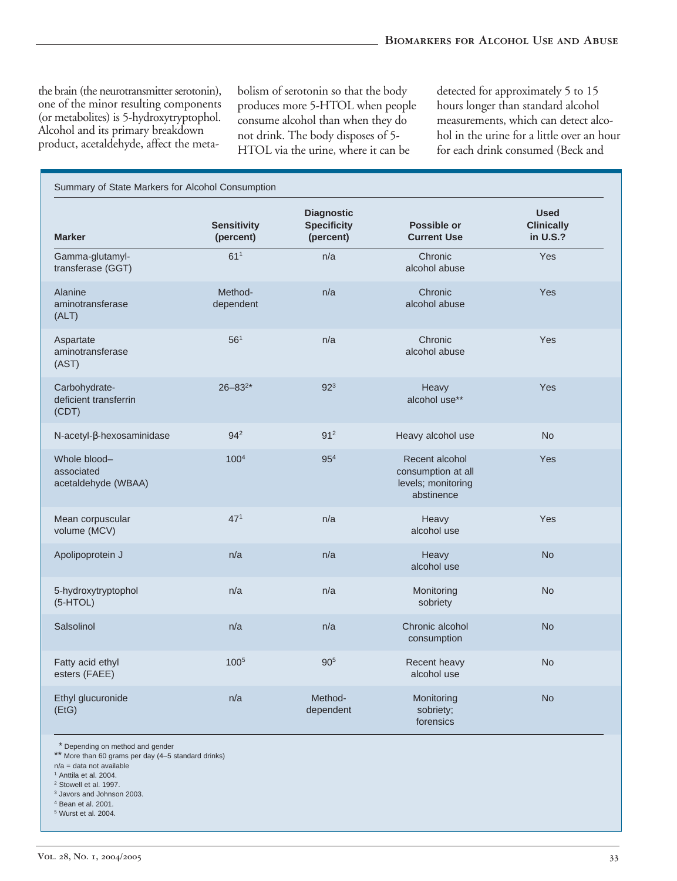the brain (the neurotransmitter serotonin), bolism of serotonin so that the body detected for approximately 5 to 15 one of the minor resulting components produces more 5-HTOL when people hours longer than standard alcohol

one of the minor resulting components<br>
(or metabolites) is 5-hydroxytryptophol. consume alcohol than when they do<br>
Alcohol and its primary breakdown<br>
product, acetaldehyde, affect the meta-<br>
HTOL via the urine, where it ca

| Summary of State Markers for Alcohol Consumption  |                                 |                                                      |                                                                          |                                              |  |
|---------------------------------------------------|---------------------------------|------------------------------------------------------|--------------------------------------------------------------------------|----------------------------------------------|--|
| <b>Marker</b>                                     | <b>Sensitivity</b><br>(percent) | <b>Diagnostic</b><br><b>Specificity</b><br>(percent) | Possible or<br><b>Current Use</b>                                        | <b>Used</b><br><b>Clinically</b><br>in U.S.? |  |
| Gamma-glutamyl-<br>transferase (GGT)              | 61 <sup>1</sup>                 | n/a                                                  | Chronic<br>alcohol abuse                                                 | Yes                                          |  |
| Alanine<br>aminotransferase<br>(ALT)              | Method-<br>dependent            | n/a                                                  | Chronic<br>alcohol abuse                                                 | Yes                                          |  |
| Aspartate<br>aminotransferase<br>(AST)            | 56 <sup>1</sup>                 | n/a                                                  | Chronic<br>alcohol abuse                                                 | Yes                                          |  |
| Carbohydrate-<br>deficient transferrin<br>(CDT)   | $26 - 83^{2*}$                  | 92 <sup>3</sup>                                      | Heavy<br>alcohol use**                                                   | Yes                                          |  |
| N-acetyl-β-hexosaminidase                         | 942                             | 91 <sup>2</sup>                                      | Heavy alcohol use                                                        | <b>No</b>                                    |  |
| Whole blood-<br>associated<br>acetaldehyde (WBAA) | 100 <sup>4</sup>                | 95 <sup>4</sup>                                      | Recent alcohol<br>consumption at all<br>levels; monitoring<br>abstinence | Yes                                          |  |
| Mean corpuscular<br>volume (MCV)                  | 47 <sup>1</sup>                 | n/a                                                  | Heavy<br>alcohol use                                                     | Yes                                          |  |
| Apolipoprotein J                                  | n/a                             | n/a                                                  | Heavy<br>alcohol use                                                     | <b>No</b>                                    |  |
| 5-hydroxytryptophol<br>$(5-HTOL)$                 | n/a                             | n/a                                                  | Monitoring<br>sobriety                                                   | <b>No</b>                                    |  |
| Salsolinol                                        | n/a                             | n/a                                                  | Chronic alcohol<br>consumption                                           | <b>No</b>                                    |  |
| Fatty acid ethyl<br>esters (FAEE)                 | $100^{5}$                       | 90 <sup>5</sup>                                      | Recent heavy<br>alcohol use                                              | <b>No</b>                                    |  |
| Ethyl glucuronide<br>(EtG)                        | n/a                             | Method-<br>dependent                                 | Monitoring<br>sobriety;<br>forensics                                     | <b>No</b>                                    |  |

\* Depending on method and gender

\*\* More than 60 grams per day (4–5 standard drinks)

n/a = data not available

- 1 Anttila et al. 2004. 2 Stowell et al. 1997.
- 3 Javors and Johnson 2003.
- 4 Bean et al. 2001.

5 Wurst et al. 2004.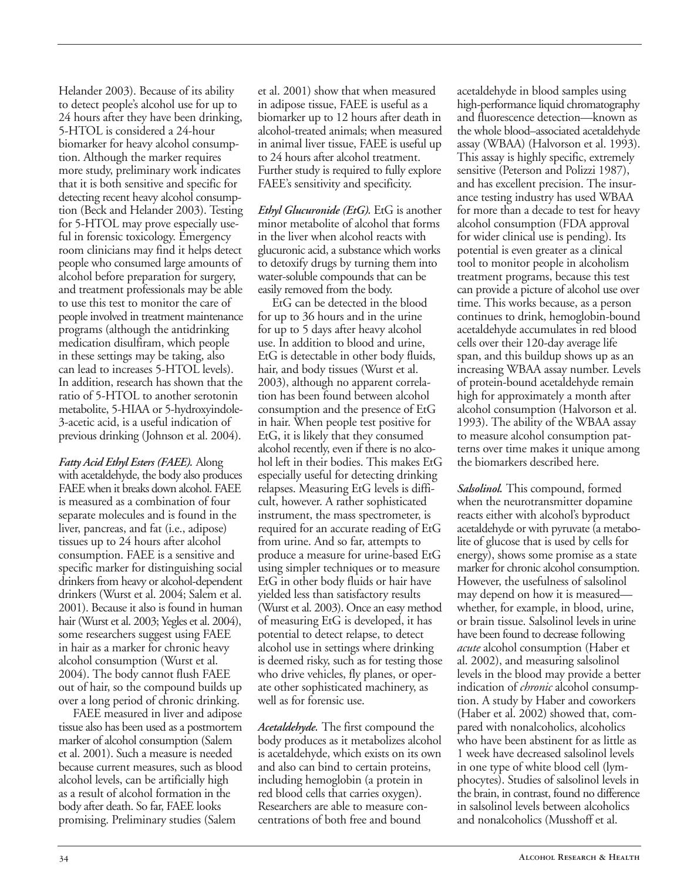Helander 2003). Because of its ability to detect people's alcohol use for up to 24 hours after they have been drinking, 5-HTOL is considered a 24-hour biomarker for heavy alcohol consumption. Although the marker requires more study, preliminary work indicates that it is both sensitive and specific for detecting recent heavy alcohol consumption (Beck and Helander 2003). Testing for 5-HTOL may prove especially useful in forensic toxicology. Emergency room clinicians may find it helps detect people who consumed large amounts of alcohol before preparation for surgery, and treatment professionals may be able to use this test to monitor the care of people involved in treatment maintenance programs (although the antidrinking medication disulfiram, which people in these settings may be taking, also can lead to increases 5-HTOL levels). In addition, research has shown that the ratio of 5-HTOL to another serotonin metabolite, 5-HIAA or 5-hydroxyindole-3-acetic acid, is a useful indication of previous drinking (Johnson et al. 2004).

*Fatty Acid Ethyl Esters (FAEE).* Along with acetaldehyde, the body also produces FAEE when it breaks down alcohol. FAEE is measured as a combination of four separate molecules and is found in the liver, pancreas, and fat (i.e., adipose) tissues up to 24 hours after alcohol consumption. FAEE is a sensitive and specific marker for distinguishing social drinkers from heavy or alcohol-dependent drinkers (Wurst et al. 2004; Salem et al. 2001). Because it also is found in human hair (Wurst et al. 2003; Yegles et al. 2004), some researchers suggest using FAEE in hair as a marker for chronic heavy alcohol consumption (Wurst et al. 2004). The body cannot flush FAEE out of hair, so the compound builds up over a long period of chronic drinking.

FAEE measured in liver and adipose tissue also has been used as a postmortem marker of alcohol consumption (Salem et al. 2001). Such a measure is needed because current measures, such as blood alcohol levels, can be artificially high as a result of alcohol formation in the body after death. So far, FAEE looks promising. Preliminary studies (Salem

et al. 2001) show that when measured in adipose tissue, FAEE is useful as a biomarker up to 12 hours after death in alcohol-treated animals; when measured in animal liver tissue, FAEE is useful up to 24 hours after alcohol treatment. Further study is required to fully explore FAEE's sensitivity and specificity.

*Ethyl Glucuronide (EtG).* EtG is another minor metabolite of alcohol that forms in the liver when alcohol reacts with glucuronic acid, a substance which works to detoxify drugs by turning them into water-soluble compounds that can be easily removed from the body.

EtG can be detected in the blood for up to 36 hours and in the urine for up to 5 days after heavy alcohol use. In addition to blood and urine, EtG is detectable in other body fluids, hair, and body tissues (Wurst et al. 2003), although no apparent correlation has been found between alcohol consumption and the presence of EtG in hair. When people test positive for EtG, it is likely that they consumed alcohol recently, even if there is no alcohol left in their bodies. This makes EtG especially useful for detecting drinking relapses. Measuring EtG levels is difficult, however. A rather sophisticated instrument, the mass spectrometer, is required for an accurate reading of EtG from urine. And so far, attempts to produce a measure for urine-based EtG using simpler techniques or to measure EtG in other body fluids or hair have yielded less than satisfactory results (Wurst et al. 2003). Once an easy method of measuring EtG is developed, it has potential to detect relapse, to detect alcohol use in settings where drinking is deemed risky, such as for testing those who drive vehicles, fly planes, or operate other sophisticated machinery, as well as for forensic use.

*Acetaldehyde.* The first compound the body produces as it metabolizes alcohol is acetaldehyde, which exists on its own and also can bind to certain proteins, including hemoglobin (a protein in red blood cells that carries oxygen). Researchers are able to measure concentrations of both free and bound

acetaldehyde in blood samples using high-performance liquid chromatography and fluorescence detection—known as the whole blood–associated acetaldehyde assay (WBAA) (Halvorson et al. 1993). This assay is highly specific, extremely sensitive (Peterson and Polizzi 1987), and has excellent precision. The insurance testing industry has used WBAA for more than a decade to test for heavy alcohol consumption (FDA approval for wider clinical use is pending). Its potential is even greater as a clinical tool to monitor people in alcoholism treatment programs, because this test can provide a picture of alcohol use over time. This works because, as a person continues to drink, hemoglobin-bound acetaldehyde accumulates in red blood cells over their 120-day average life span, and this buildup shows up as an increasing WBAA assay number. Levels of protein-bound acetaldehyde remain high for approximately a month after alcohol consumption (Halvorson et al. 1993). The ability of the WBAA assay to measure alcohol consumption patterns over time makes it unique among the biomarkers described here.

*Salsolinol.* This compound, formed when the neurotransmitter dopamine reacts either with alcohol's byproduct acetaldehyde or with pyruvate (a metabolite of glucose that is used by cells for energy), shows some promise as a state marker for chronic alcohol consumption. However, the usefulness of salsolinol may depend on how it is measured whether, for example, in blood, urine, or brain tissue. Salsolinol levels in urine have been found to decrease following *acute* alcohol consumption (Haber et al. 2002), and measuring salsolinol levels in the blood may provide a better indication of *chronic* alcohol consumption. A study by Haber and coworkers (Haber et al. 2002) showed that, compared with nonalcoholics, alcoholics who have been abstinent for as little as 1 week have decreased salsolinol levels in one type of white blood cell (lymphocytes). Studies of salsolinol levels in the brain, in contrast, found no difference in salsolinol levels between alcoholics and nonalcoholics (Musshoff et al.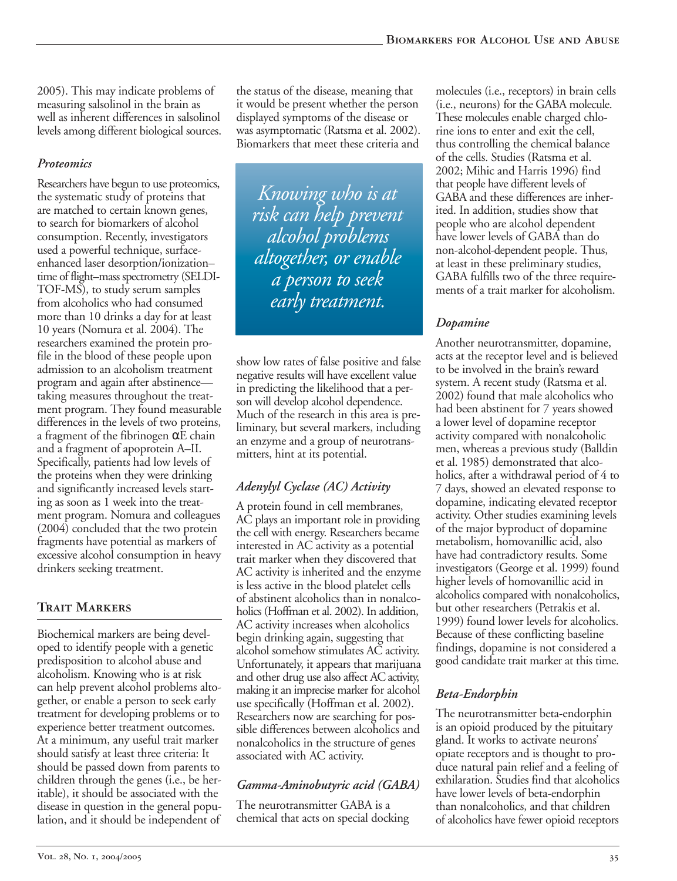2005). This may indicate problems of measuring salsolinol in the brain as well as inherent differences in salsolinol levels among different biological sources.

#### *Proteomics*

Researchers have begun to use proteomics, the systematic study of proteins that are matched to certain known genes, to search for biomarkers of alcohol consumption. Recently, investigators used a powerful technique, surfaceenhanced laser desorption/ionization– time of flight–mass spectrometry (SELDI-TOF-MS), to study serum samples from alcoholics who had consumed more than 10 drinks a day for at least 10 years (Nomura et al. 2004). The researchers examined the protein profile in the blood of these people upon admission to an alcoholism treatment program and again after abstinence taking measures throughout the treatment program. They found measurable differences in the levels of two proteins, a fragment of the fibrinogen  $\alpha$ E chain and a fragment of apoprotein A–II. Specifically, patients had low levels of the proteins when they were drinking and significantly increased levels starting as soon as 1 week into the treatment program. Nomura and colleagues (2004) concluded that the two protein fragments have potential as markers of excessive alcohol consumption in heavy drinkers seeking treatment.

### **Trait Markers**

Biochemical markers are being developed to identify people with a genetic predisposition to alcohol abuse and alcoholism. Knowing who is at risk can help prevent alcohol problems altogether, or enable a person to seek early treatment for developing problems or to experience better treatment outcomes. At a minimum, any useful trait marker should satisfy at least three criteria: It should be passed down from parents to children through the genes (i.e., be heritable), it should be associated with the disease in question in the general population, and it should be independent of

the status of the disease, meaning that it would be present whether the person displayed symptoms of the disease or was asymptomatic (Ratsma et al. 2002). Biomarkers that meet these criteria and

*Kno wing who is at altogether , or enable early tr eatment. risk can help prevent alcohol problems a person to seek* 

show low rates of false positive and false negative results will have excellent value in predicting the likelihood that a person will develop alcohol dependence. Much of the research in this area is preliminary, but several markers, including an enzyme and a group of neurotransmitters, hint at its potential.

#### *Adenylyl Cyclase (AC) Activity*

A protein found in cell membranes, AC plays an important role in providing the cell with energy. Researchers became interested in AC activity as a potential trait marker when they discovered that AC activity is inherited and the enzyme is less active in the blood platelet cells of abstinent alcoholics than in nonalcoholics (Hoffman et al. 2002). In addition, AC activity increases when alcoholics begin drinking again, suggesting that alcohol somehow stimulates AC activity. Unfortunately, it appears that marijuana and other drug use also affect AC activity, making it an imprecise marker for alcohol use specifically (Hoffman et al. 2002). Researchers now are searching for possible differences between alcoholics and nonalcoholics in the structure of genes associated with AC activity.

#### *Gamma-Aminobutyric acid (GABA)*

The neurotransmitter GABA is a chemical that acts on special docking molecules (i.e., receptors) in brain cells (i.e., neurons) for the GABA molecule. These molecules enable charged chlorine ions to enter and exit the cell, thus controlling the chemical balance of the cells. Studies (Ratsma et al. 2002; Mihic and Harris 1996) find that people have different levels of GABA and these differences are inherited. In addition, studies show that people who are alcohol dependent have lower levels of GABA than do non-alcohol-dependent people. Thus, at least in these preliminary studies, GABA fulfills two of the three requirements of a trait marker for alcoholism.

#### *Dopamine*

Another neurotransmitter, dopamine, acts at the receptor level and is believed to be involved in the brain's reward system. A recent study (Ratsma et al. 2002) found that male alcoholics who had been abstinent for 7 years showed a lower level of dopamine receptor activity compared with nonalcoholic men, whereas a previous study (Balldin et al. 1985) demonstrated that alcoholics, after a withdrawal period of 4 to 7 days, showed an elevated response to dopamine, indicating elevated receptor activity. Other studies examining levels of the major byproduct of dopamine metabolism, homovanillic acid, also have had contradictory results. Some investigators (George et al. 1999) found higher levels of homovanillic acid in alcoholics compared with nonalcoholics, but other researchers (Petrakis et al. 1999) found lower levels for alcoholics. Because of these conflicting baseline findings, dopamine is not considered a good candidate trait marker at this time.

#### *Beta-Endorphin*

The neurotransmitter beta-endorphin is an opioid produced by the pituitary gland. It works to activate neurons' opiate receptors and is thought to produce natural pain relief and a feeling of exhilaration. Studies find that alcoholics have lower levels of beta-endorphin than nonalcoholics, and that children of alcoholics have fewer opioid receptors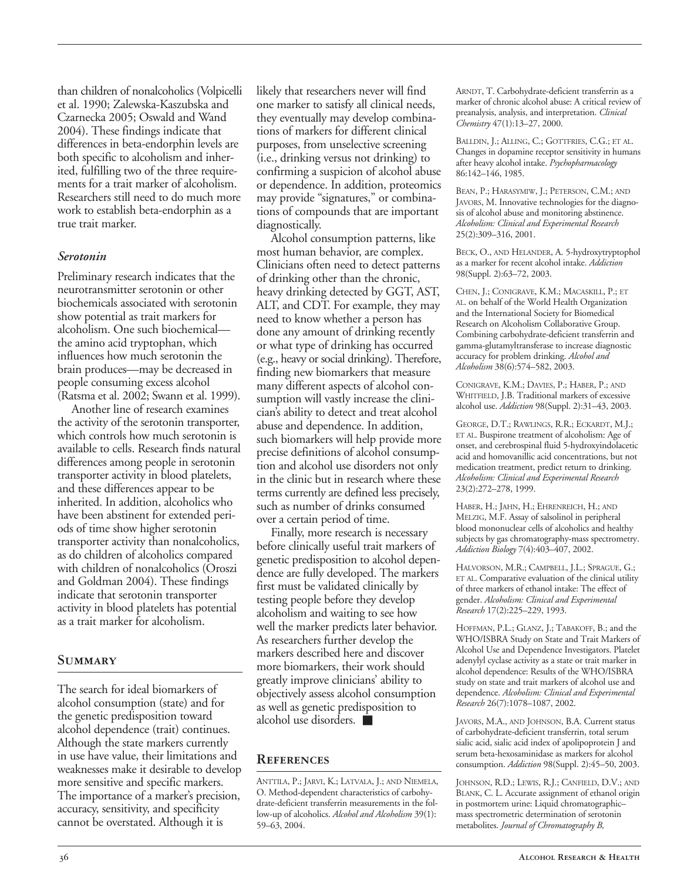than children of nonalcoholics (Volpicelli et al. 1990; Zalewska-Kaszubska and Czarnecka 2005; Oswald and Wand 2004). These findings indicate that differences in beta-endorphin levels are both specific to alcoholism and inherited, fulfilling two of the three requirements for a trait marker of alcoholism. Researchers still need to do much more work to establish beta-endorphin as a true trait marker.

#### *Serotonin*

Preliminary research indicates that the neurotransmitter serotonin or other biochemicals associated with serotonin show potential as trait markers for alcoholism. One such biochemical the amino acid tryptophan, which influences how much serotonin the brain produces—may be decreased in people consuming excess alcohol (Ratsma et al. 2002; Swann et al. 1999).

Another line of research examines the activity of the serotonin transporter, which controls how much serotonin is available to cells. Research finds natural differences among people in serotonin transporter activity in blood platelets, and these differences appear to be inherited. In addition, alcoholics who have been abstinent for extended periods of time show higher serotonin transporter activity than nonalcoholics, as do children of alcoholics compared with children of nonalcoholics (Oroszi and Goldman 2004). These findings indicate that serotonin transporter activity in blood platelets has potential as a trait marker for alcoholism.

#### **Summary**

The search for ideal biomarkers of alcohol consumption (state) and for the genetic predisposition toward alcohol dependence (trait) continues. Although the state markers currently in use have value, their limitations and weaknesses make it desirable to develop more sensitive and specific markers. The importance of a marker's precision, accuracy, sensitivity, and specificity cannot be overstated. Although it is

likely that researchers never will find one marker to satisfy all clinical needs, they eventually may develop combinations of markers for different clinical purposes, from unselective screening (i.e., drinking versus not drinking) to confirming a suspicion of alcohol abuse or dependence. In addition, proteomics may provide "signatures," or combinations of compounds that are important diagnostically.

Alcohol consumption patterns, like most human behavior, are complex. Clinicians often need to detect patterns of drinking other than the chronic, heavy drinking detected by GGT, AST, ALT, and CDT. For example, they may need to know whether a person has done any amount of drinking recently or what type of drinking has occurred (e.g., heavy or social drinking). Therefore, finding new biomarkers that measure many different aspects of alcohol consumption will vastly increase the clinician's ability to detect and treat alcohol abuse and dependence. In addition, such biomarkers will help provide more precise definitions of alcohol consumption and alcohol use disorders not only in the clinic but in research where these terms currently are defined less precisely, such as number of drinks consumed over a certain period of time.

Finally, more research is necessary before clinically useful trait markers of genetic predisposition to alcohol dependence are fully developed. The markers first must be validated clinically by testing people before they develop alcoholism and waiting to see how well the marker predicts later behavior. As researchers further develop the markers described here and discover more biomarkers, their work should greatly improve clinicians' ability to objectively assess alcohol consumption as well as genetic predisposition to alcohol use disorders. ■

#### **References**

ANTTILA, P.; JARVI, K.; LATVALA, J.; AND NIEMELA, O. Method-dependent characteristics of carbohydrate-deficient transferrin measurements in the follow-up of alcoholics. *Alcohol and Alcoholism* 39(1): 59–63, 2004.

ARNDT, T. Carbohydrate-deficient transferrin as a marker of chronic alcohol abuse: A critical review of preanalysis, analysis, and interpretation. *Clinical Chemistry* 47(1):13–27, 2000.

BALLDIN, J.; ALLING, C.; GOTTFRIES, C.G.; ET AL. Changes in dopamine receptor sensitivity in humans after heavy alcohol intake. *Psychopharmacology*  86:142–146, 1985.

BEAN, P.; HARASYMIW, J.; PETERSON, C.M.; AND JAVORS, M. Innovative technologies for the diagnosis of alcohol abuse and monitoring abstinence. *Alcoholism: Clinical and Experimental Research*  25(2):309–316, 2001.

BECK, O., AND HELANDER, A. 5-hydroxytryptophol as a marker for recent alcohol intake. *Addiction*  98(Suppl. 2):63–72, 2003.

CHEN, J.; CONIGRAVE, K.M.; MACASKILL, P.; ET AL. on behalf of the World Health Organization and the International Society for Biomedical Research on Alcoholism Collaborative Group. Combining carbohydrate-deficient transferrin and gamma-glutamyltransferase to increase diagnostic accuracy for problem drinking. *Alcohol and Alcoholism* 38(6):574–582, 2003.

CONIGRAVE, K.M.; DAVIES, P.; HABER, P.; AND WHITFIELD, J.B. Traditional markers of excessive alcohol use. *Addiction* 98(Suppl. 2):31–43, 2003.

GEORGE, D.T.; RAWLINGS, R.R.; ECKARDT, M.J.; ET AL. Buspirone treatment of alcoholism: Age of onset, and cerebrospinal fluid 5-hydroxyindolacetic acid and homovanillic acid concentrations, but not medication treatment, predict return to drinking. *Alcoholism: Clinical and Experimental Research*  23(2):272–278, 1999.

HABER, H.; JAHN, H.; EHRENREICH, H.; AND MELZIG, M.F. Assay of salsolinol in peripheral blood mononuclear cells of alcoholics and healthy subjects by gas chromatography-mass spectrometry. *Addiction Biology* 7(4):403–407, 2002.

HALVORSON, M.R.; CAMPBELL, J.L.; SPRAGUE, G.; ET AL. Comparative evaluation of the clinical utility of three markers of ethanol intake: The effect of gender. *Alcoholism: Clinical and Experimental Research* 17(2):225–229, 1993.

HOFFMAN, P.L.; GLANZ, J.; TABAKOFF, B.; and the WHO/ISBRA Study on State and Trait Markers of Alcohol Use and Dependence Investigators. Platelet adenylyl cyclase activity as a state or trait marker in alcohol dependence: Results of the WHO/ISBRA study on state and trait markers of alcohol use and dependence. *Alcoholism: Clinical and Experimental Research* 26(7):1078–1087, 2002.

JAVORS, M.A., AND JOHNSON, B.A. Current status of carbohydrate-deficient transferrin, total serum sialic acid, sialic acid index of apolipoprotein J and serum beta-hexosaminidase as markers for alcohol consumption. *Addiction* 98(Suppl. 2):45–50, 2003.

JOHNSON, R.D.; LEWIS, R.J.; CANFIELD, D.V.; AND BLANK, C. L. Accurate assignment of ethanol origin in postmortem urine: Liquid chromatographic– mass spectrometric determination of serotonin metabolites. *Journal of Chromatography B,*